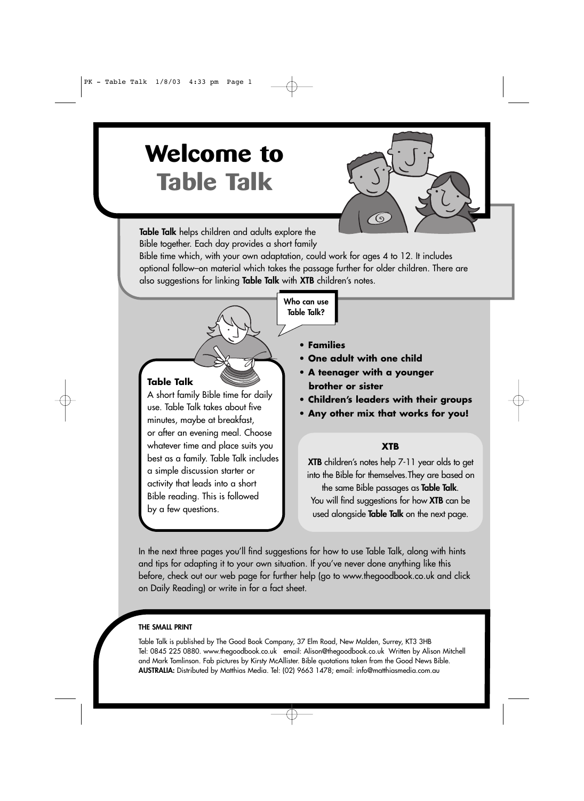# **Welcome to Table Talk**



Table Talk helps children and adults explore the Bible together. Each day provides a short family

Bible time which, with your own adaptation, could work for ages 4 to 12. It includes optional follow–on material which takes the passage further for older children. There are also suggestions for linking Table Talk with XTB children's notes.

> Who can use Table Talk?

#### **Table Talk**

A short family Bible time for daily use. Table Talk takes about five minutes, maybe at breakfast, or after an evening meal. Choose whatever time and place suits you best as a family. Table Talk includes a simple discussion starter or activity that leads into a short Bible reading. This is followed by a few questions.

#### **• Families**

- **One adult with one child**
- **A teenager with a younger brother or sister**
- **Children's leaders with their groups**
- **Any other mix that works for you!**

#### **XTB**

XTB children's notes help 7-11 year olds to get into the Bible for themselves.They are based on the same Bible passages as Table Talk. You will find suggestions for how **XTB** can be used alongside Table Talk on the next page.

In the next three pages you'll find suggestions for how to use Table Talk, along with hints and tips for adapting it to your own situation. If you've never done anything like this before, check out our web page for further help (go to www.thegoodbook.co.uk and click on Daily Reading) or write in for a fact sheet.

#### THE SMALL PRINT

Table Talk is published by The Good Book Company, 37 Elm Road, New Malden, Surrey, KT3 3HB Tel: 0845 225 0880. www.thegoodbook.co.uk email: Alison@thegoodbook.co.uk Written by Alison Mitchell and Mark Tomlinson. Fab pictures by Kirsty McAllister. Bible quotations taken from the Good News Bible. AUSTRALIA: Distributed by Matthias Media. Tel: (02) 9663 1478; email: info@matthiasmedia.com.au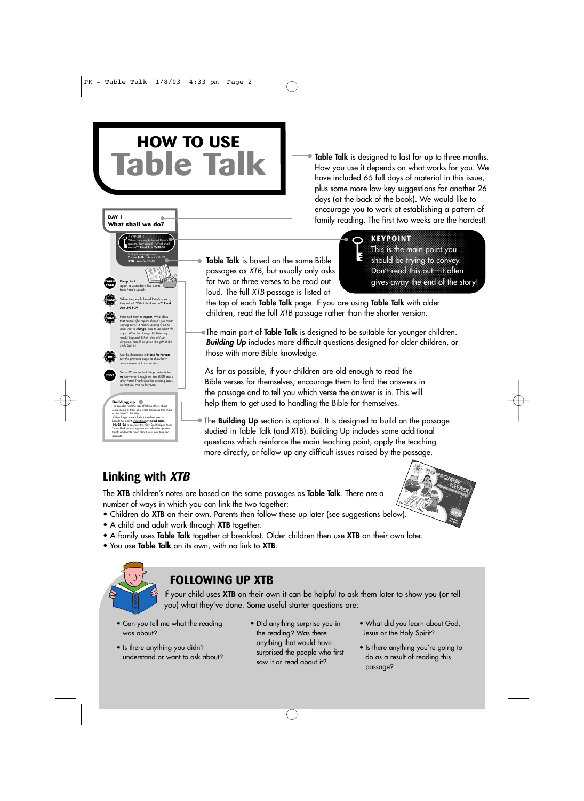# **HOW TO USE Table Talk**



How you use it depends on what works for you. We have included 65 full days of material in this issue, plus some more low-key suggestions for another 26 days (at the back of the book). We would like to encourage you to work at establishing a pattern of family reading. The first two weeks are the hardest!

Table Talk is designed to last for up to three months.

**Table Talk** is based on the same Bible passages as XTB, but usually only asks for two or three verses to be read out loud. The full XTB passage is listed at



This is the main point you should be trying to convey. Don't read this out—it often gives away the end of the story!

the top of each Table Talk page. If you are using Table Talk with older children, read the full XTB passage rather than the shorter version.

The main part of **Table Talk** is designed to be suitable for younger children. **Building Up** includes more difficult questions designed for older children, or those with more Bible knowledge.

As far as possible, if your children are old enough to read the Bible verses for themselves, encourage them to find the answers in the passage and to tell you which verse the answer is in. This will help them to get used to handling the Bible for themselves.

• The **Building Up** section is optional. It is designed to build on the passage studied in Table Talk (and XTB). Building Up includes some additional questions which reinforce the main teaching point, apply the teaching more directly, or follow up any difficult issues raised by the passage.

### **Linking with XTB**

The XTB children's notes are based on the same passages as Table Talk. There are a number of ways in which you can link the two together:

- Children do XTB on their own. Parents then follow these up later (see suggestions below).
- A child and adult work through XTB together.
- A family uses Table Talk together at breakfast. Older children then use XTB on their own later.
- You use Table Talk on its own, with no link to XTB.



### **FOLLOWING UP XTB**

If your child uses XTB on their own it can be helpful to ask them later to show you (or tell you) what they've done. Some useful starter questions are:

- Can you tell me what the reading was about?
- Is there anything you didn't understand or want to ask about?
- Did anything surprise you in the reading? Was there anything that would have surprised the people who first saw it or read about it?
- What did you learn about God, Jesus or the Holy Spirit?
- Is there anything you're going to do as a result of reading this passage?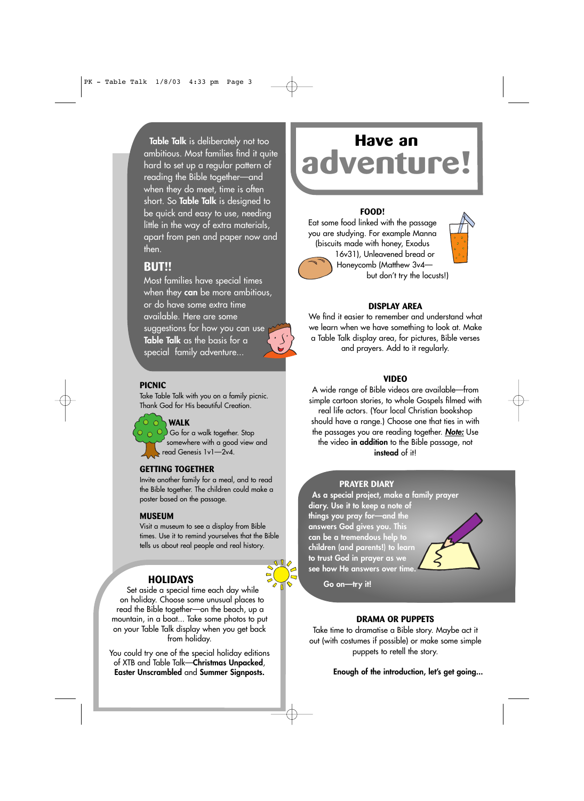Table Talk is deliberately not too ambitious. Most families find it quite hard to set up a regular pattern of reading the Bible together—and when they do meet, time is often short. So **Table Talk** is designed to be quick and easy to use, needing little in the way of extra materials, apart from pen and paper now and then.

#### **BUT!!**

Most families have special times when they can be more ambitious, or do have some extra time available. Here are some suggestions for how you can use Table Talk as the basis for a special family adventure...



#### **PICNIC**

Take Table Talk with you on a family picnic. Thank God for His beautiful Creation.

#### **WALK**

 $\overline{\mathcal{O}}$   $\overline{\mathcal{O}}$   $\overline{\mathcal{O}}$  Go for a walk together. Stop somewhere with a good view and read Genesis 1v1—2v4.

#### **GETTING TOGETHER**

Invite another family for a meal, and to read the Bible together. The children could make a poster based on the passage.

#### **MUSEUM**

Visit a museum to see a display from Bible times. Use it to remind yourselves that the Bible tells us about real people and real history.

### **HOLIDAYS**

Set aside a special time each day while on holiday. Choose some unusual places to read the Bible together—on the beach, up a mountain, in a boat... Take some photos to put on your Table Talk display when you get back from holiday.

You could try one of the special holiday editions of XTB and Table Talk—Christmas Unpacked, Easter Unscrambled and Summer Signposts.

# **Have an adventure!**

#### **FOOD!**

Eat some food linked with the passage you are studying. For example Manna (biscuits made with honey, Exodus 16v31), Unleavened bread or





Honeycomb (Matthew 3v4 but don't try the locusts!)

#### **DISPLAY AREA**

We find it easier to remember and understand what we learn when we have something to look at. Make a Table Talk display area, for pictures, Bible verses and prayers. Add to it regularly.

#### **VIDEO**

A wide range of Bible videos are available—from simple cartoon stories, to whole Gospels filmed with real life actors. (Your local Christian bookshop should have a range.) Choose one that ties in with the passages you are reading together. Note: Use the video in addition to the Bible passage, not instead of it!

#### **PRAYER DIARY**

As a special project, make a family prayer diary. Use it to keep a note of things you pray for—and the answers God gives you. This can be a tremendous help to children (and parents!) to learn to trust God in prayer as we see how He answers over time



Go on—try it!

#### **DRAMA OR PUPPETS**

Take time to dramatise a Bible story. Maybe act it out (with costumes if possible) or make some simple puppets to retell the story.

Enough of the introduction, let's get going...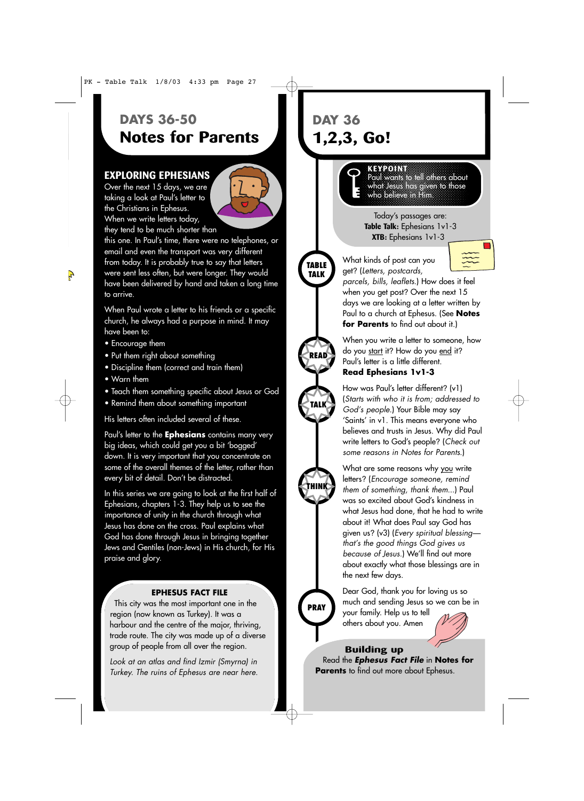### **DAYS 36-50 Notes for Parents**

#### **EXPLORING EPHESIANS**

Over the next 15 days, we are taking a look at Paul's letter to the Christians in Ephesus. When we write letters today, they tend to be much shorter than



this one. In Paul's time, there were no telephones, or email and even the transport was very different from today. It is probably true to say that letters were sent less often, but were longer. They would have been delivered by hand and taken a long time to arrive.

When Paul wrote a letter to his friends or a specific church, he always had a purpose in mind. It may have been to:

- Encourage them
- Put them right about something
- Discipline them (correct and train them)
- Warn them
- Teach them something specific about Jesus or God
- Remind them about something important

His letters often included several of these.

Paul's letter to the **Ephesians** contains many very big ideas, which could get you a bit 'bogged' down. It is very important that you concentrate on some of the overall themes of the letter, rather than every bit of detail. Don't be distracted.

In this series we are going to look at the first half of Ephesians, chapters 1-3. They help us to see the importance of unity in the church through what Jesus has done on the cross. Paul explains what God has done through Jesus in bringing together Jews and Gentiles (non-Jews) in His church, for His praise and glory.

#### **EPHESUS FACT FILE**

This city was the most important one in the region (now known as Turkey). It was a harbour and the centre of the major, thriving, trade route. The city was made up of a diverse group of people from all over the region.

Look at an atlas and find Izmir (Smyrna) in Turkey. The ruins of Ephesus are near here.

**DAY 36 1,2,3, Go!**



Paul wants to tell others about what Jesus has given to those who believe in Him.

Today's passages are: **Table Talk:** Ephesians 1v1-3 **XTB:** Ephesians 1v1-3



**READ**

**TALK**

What kinds of post can you get? (Letters, postcards, parcels, bills, leaflets.) How does it feel

when you get post? Over the next 15 days we are looking at a letter written by Paul to a church at Ephesus. (See **Notes for Parents** to find out about it.)

When you write a letter to someone, how do you start it? How do you end it? Paul's letter is a little different. **Read Ephesians 1v1-3**

How was Paul's letter different? (v1) (Starts with who it is from; addressed to God's people.) Your Bible may say 'Saints' in v1. This means everyone who believes and trusts in Jesus. Why did Paul write letters to God's people? (Check out some reasons in Notes for Parents.)



What are some reasons why you write letters? (Encourage someone, remind them of something, thank them...) Paul was so excited about God's kindness in what Jesus had done, that he had to write about it! What does Paul say God has given us? (v3) (Every spiritual blessing that's the good things God gives us because of Jesus.) We'll find out more about exactly what those blessings are in the next few days.



Dear God, thank you for loving us so much and sending Jesus so we can be in

your family. Help us to tell others about you. Amen



#### **Building up** Read the **Ephesus Fact File** in **Notes for Parents** to find out more about Ephesus.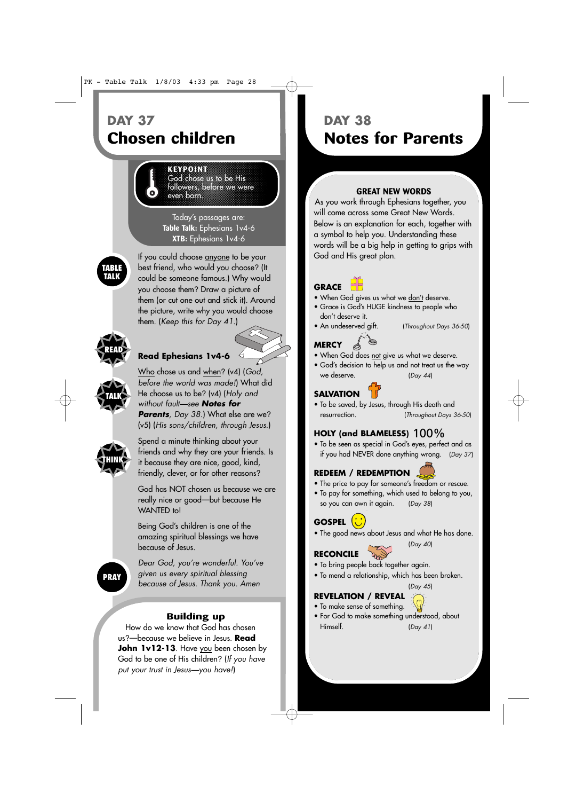### **DAY 37 Chosen children**

**KEYPOINT** God chose us to be His followers, before we were even born.

Today's passages are: **Table Talk:** Ephesians 1v4-6 **XTB:** Ephesians 1v4-6



If you could choose anyone to be your best friend, who would you choose? (It could be someone famous.) Why would you choose them? Draw a picture of them (or cut one out and stick it). Around the picture, write why you would choose them. (Keep this for Day 41.)



**TALK**

#### **Read Ephesians 1v4-6**



Who chose us and when? (v4) (God, before the world was made!) What did He choose us to be? (v4) (Holy and without fault—see **Notes for Parents**, Day 38.) What else are we? (v5) (His sons/children, through Jesus.)



Spend a minute thinking about your friends and why they are your friends. Is it because they are nice, good, kind, friendly, clever, or for other reasons?

God has NOT chosen us because we are really nice or good—but because He WANTED to!

Being God's children is one of the amazing spiritual blessings we have because of Jesus.

Dear God, you're wonderful. You've given us every spiritual blessing because of Jesus. Thank you. Amen

#### **Building up**

How do we know that God has chosen us?—because we believe in Jesus. **Read John 1v12-13**. Have you been chosen by God to be one of His children? (If you have put your trust in Jesus—you have!)

### **DAY 38 Notes for Parents**

### **GREAT NEW WORDS**

As you work through Ephesians together, you will come across some Great New Words. Below is an explanation for each, together with a symbol to help you. Understanding these words will be a big help in getting to grips with God and His great plan.

### **GRACE**

- When God gives us what we don't deserve.
- Grace is God's HUGE kindness to people who don't deserve it.
- 
- An undeserved gift. (Throughout Days 36-50)



- When God does not give us what we deserve.
- God's decision to help us and not treat us the way we deserve. (Day 44)

### **SALVATION**

• To be saved, by Jesus, through His death and resurrection. (Throughout Days 36-50)

### **HOLY (and BLAMELESS)** 100%

• To be seen as special in God's eyes, perfect and as if you had NEVER done anything wrong. (Day 37)

#### **REDEEM / REDEMPTION**

- The price to pay for someone's freedom or rescue.
- To pay for something, which used to belong to you, so you can own it again. (Day 38)

**GOSPEL**

• The good news about Jesus and what He has done.

#### **RECONCILE**



- To bring people back together again.
- To mend a relationship, which has been broken.

(Day 45)

(Day 40)

#### **REVELATION / REVEAL**

- To make sense of something.
- For God to make something understood, about Himself. (Day 41)

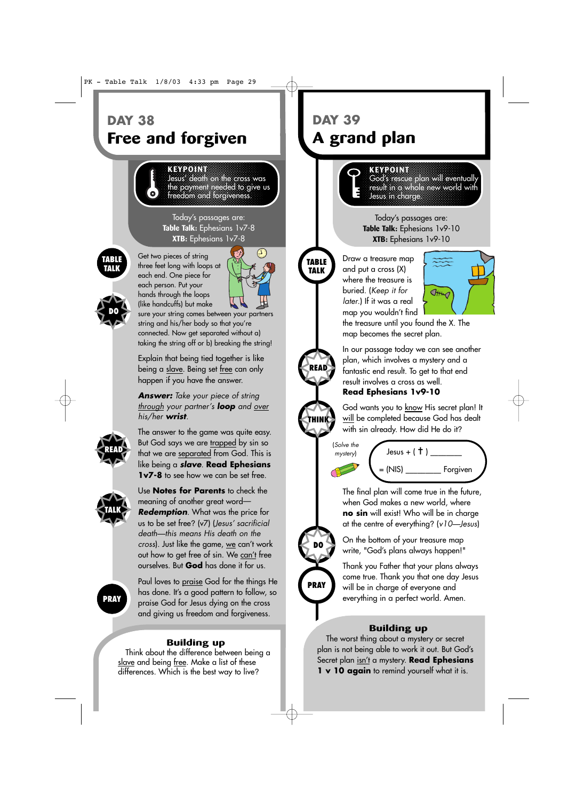### **DAY 38 Free and forgiven**



**KEYPOINT** Jesus' death on the cross was the payment needed to give us freedom and forgiveness.

Today's passages are: **Table Talk:** Ephesians 1v7-8 **XTB:** Ephesians 1v7-8



**DO**

Get two pieces of string three feet long with loops at each end. One piece for each person. Put your hands through the loops (like handcuffs) but make



sure your string comes between your partners string and his/her body so that you're connected. Now get separated without a) taking the string off or b) breaking the string!

Explain that being tied together is like being a slave. Being set free can only happen if you have the answer.

**Answer:** Take your piece of string through your partner's **loop** and over his/her **wrist**.



The answer to the game was quite easy. But God says we are trapped by sin so that we are separated from God. This is like being a **slave**. **Read Ephesians 1v7-8** to see how we can be set free.

Use **Notes for Parents** to check the



meaning of another great word— **Redemption**. What was the price for us to be set free? (v7) (Jesus' sacrificial death—this means His death on the cross). Just like the game, we can't work out how to get free of sin. We can't free ourselves. But **God** has done it for us.

**PRAY**

Paul loves to praise God for the things He has done. It's a good pattern to follow, so praise God for Jesus dying on the cross and giving us freedom and forgiveness.

#### **Building up**

Think about the difference between being a slave and being free. Make a list of these differences. Which is the best way to live?

## **DAY 39 A grand plan**

#### **KEYPOINT**

God's rescue plan will eventually result in a whole new world with

- Jesus in charge.
- 

Today's passages are: **Table Talk:** Ephesians 1v9-10 **XTB:** Ephesians 1v9-10



Draw a treasure map and put a cross (X) where the treasure is buried. (Keep it for later.) If it was a real map you wouldn't find



the treasure until you found the X. The map becomes the secret plan.



In our passage today we can see another plan, which involves a mystery and a fantastic end result. To get to that end result involves a cross as well. **Read Ephesians 1v9-10**



God wants you to know His secret plan! It will be completed because God has dealt with sin already. How did He do it?

(Solve the mystery)



The final plan will come true in the future, when God makes a new world, where **no sin** will exist! Who will be in charge at the centre of everything? (v10—Jesus)



On the bottom of your treasure map write, "God's plans always happen!"

Thank you Father that your plans always come true. Thank you that one day Jesus will be in charge of everyone and everything in a perfect world. Amen.

#### **Building up**

The worst thing about a mystery or secret plan is not being able to work it out. But God's Secret plan isn't a mystery. **Read Ephesians 1 v 10 again** to remind yourself what it is.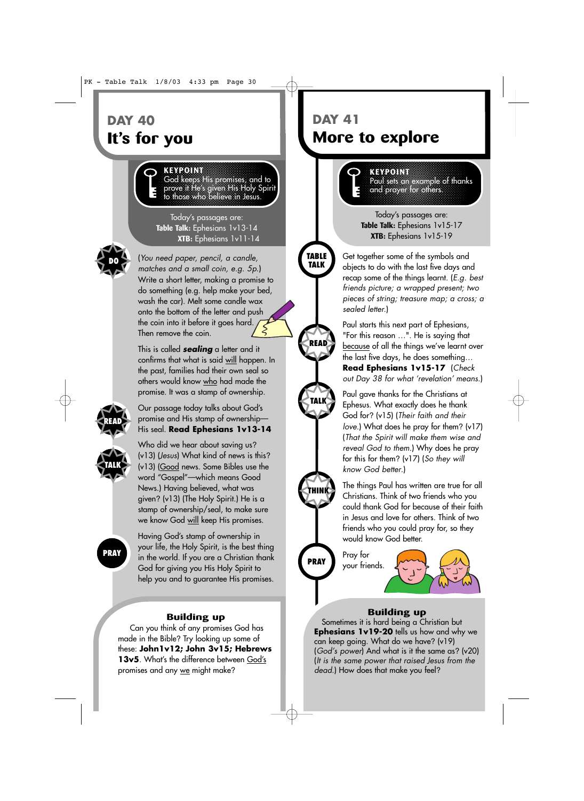### **DAY 40 It's for you**

#### **KEYPOINT**

God keeps His promises, and to prove it He's given His Holy Spirit to those who believe in Jesus.

Today's passages are: **Table Talk:** Ephesians 1v13-14 **XTB:** Ephesians 1v11-14

**DO** (You need paper, pencil, a candle, matches and a small coin, e.g. 5p.) Write a short letter, making a promise to do something (e.g. help make your bed, wash the car). Melt some candle wax onto the bottom of the letter and push the coin into it before it goes hard. Then remove the coin.

This is called **sealing** a letter and it confirms that what is said will happen. In the past, families had their own seal so others would know who had made the promise. It was a stamp of ownership.



**TALK**

**PRAY**

Our passage today talks about God's promise and His stamp of ownership— His seal. **Read Ephesians 1v13-14**

Who did we hear about saving us? (v13) (Jesus) What kind of news is this? (v13) (Good news. Some Bibles use the word "Gospel"—which means Good News.) Having believed, what was given? (v13) (The Holy Spirit.) He is a stamp of ownership/seal, to make sure we know God will keep His promises.

Having God's stamp of ownership in your life, the Holy Spirit, is the best thing in the world. If you are a Christian thank God for giving you His Holy Spirit to help you and to guarantee His promises.

#### **Building up**

Can you think of any promises God has made in the Bible? Try looking up some of these: **John1v12; John 3v15; Hebrews** 13v5. What's the difference between God's promises and any we might make?

### **DAY 41 More to explore**

**KEYPOINT** Paul sets an example of thanks and prayer for others.

Today's passages are: **Table Talk:** Ephesians 1v15-17 **XTB:** Ephesians 1v15-19

**TABLE TALK**

**READ**

**TALK**

Get together some of the symbols and objects to do with the last five days and recap some of the things learnt. (E.g. best friends picture; a wrapped present; two pieces of string; treasure map; a cross; a sealed letter.)

Paul starts this next part of Ephesians, "For this reason …". He is saying that because of all the things we've learnt over the last five days, he does something… **Read Ephesians 1v15-17** (Check out Day 38 for what 'revelation' means.)

Paul gave thanks for the Christians at Ephesus. What exactly does he thank God for? (v15) (Their faith and their love.) What does he pray for them? (v17) (That the Spirit will make them wise and reveal God to them.) Why does he pray for this for them? (v17) (So they will know God better.)

The things Paul has written are true for all Christians. Think of two friends who you could thank God for because of their faith in Jesus and love for others. Think of two friends who you could pray for, so they





Pray for your friends.

would know God better.



#### **Building up**

Sometimes it is hard being a Christian but **Ephesians 1v19-20** tells us how and why we can keep going. What do we have? (v19) (God's power) And what is it the same as? (v20) (It is the same power that raised Jesus from the dead.) How does that make you feel?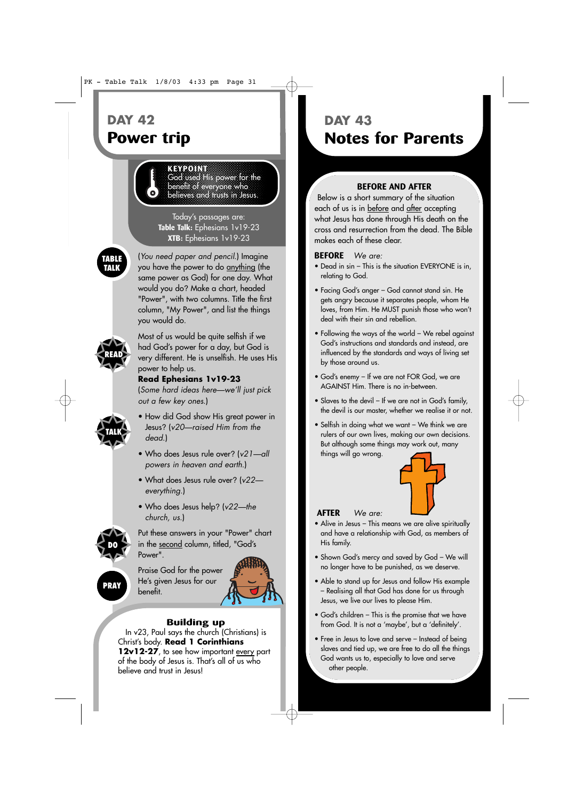### **DAY 42 Power trip**

**KEYPOINT** God used His power for the benefit of everyone who believes and trusts in Jesus.

Today's passages are: **Table Talk:** Ephesians 1v19-23 **XTB:** Ephesians 1v19-23

**TABLE TALK**

(You need paper and pencil.) Imagine you have the power to do anything (the same power as God) for one day. What would you do? Make a chart, headed "Power", with two columns. Title the first column, "My Power", and list the things you would do.



Most of us would be quite selfish if we had God's power for a day, but God is very different. He is unselfish. He uses His power to help us.

**Read Ephesians 1v19-23**

(Some hard ideas here—we'll just pick out a few key ones.)



- How did God show His great power in Jesus? (v20—raised Him from the dead.)
- Who does Jesus rule over? (v21-all powers in heaven and earth.)
- What does Jesus rule over? (v22 everything.)
- Who does Jesus help? (v22—the church, us.)



**PRAY**

Put these answers in your "Power" chart in the second column, titled, "God's Power".

Praise God for the power He's given Jesus for our benefit.

#### **Building up**

In v23, Paul says the church (Christians) is Christ's body. **Read 1 Corinthians 12v12-27**, to see how important every part of the body of Jesus is. That's all of us who believe and trust in Jesus!

### **DAY 43 Notes for Parents**

### **BEFORE AND AFTER**

Below is a short summary of the situation each of us is in before and after accepting what Jesus has done through His death on the cross and resurrection from the dead. The Bible makes each of these clear.

#### **BEFORE** We are:

- Dead in sin This is the situation EVERYONE is in, relating to God.
- Facing God's anger God cannot stand sin. He gets angry because it separates people, whom He loves, from Him. He MUST punish those who won't deal with their sin and rebellion.
- Following the ways of the world We rebel against God's instructions and standards and instead, are influenced by the standards and ways of living set by those around us.
- God's enemy If we are not FOR God, we are AGAINST Him. There is no in-between.
- Slaves to the devil If we are not in God's family, the devil is our master, whether we realise it or not.
- Selfish in doing what we want We think we are rulers of our own lives, making our own decisions. But although some things may work out, many things will go wrong.

#### **AFTER** We are:

- Alive in Jesus This means we are alive spiritually and have a relationship with God, as members of His family.
- Shown God's mercy and saved by God We will no longer have to be punished, as we deserve.
- Able to stand up for Jesus and follow His example – Realising all that God has done for us through Jesus, we live our lives to please Him.
- God's children This is the promise that we have from God. It is not a 'maybe', but a 'definitely'.
- Free in Jesus to love and serve Instead of being slaves and tied up, we are free to do all the things God wants us to, especially to love and serve other people.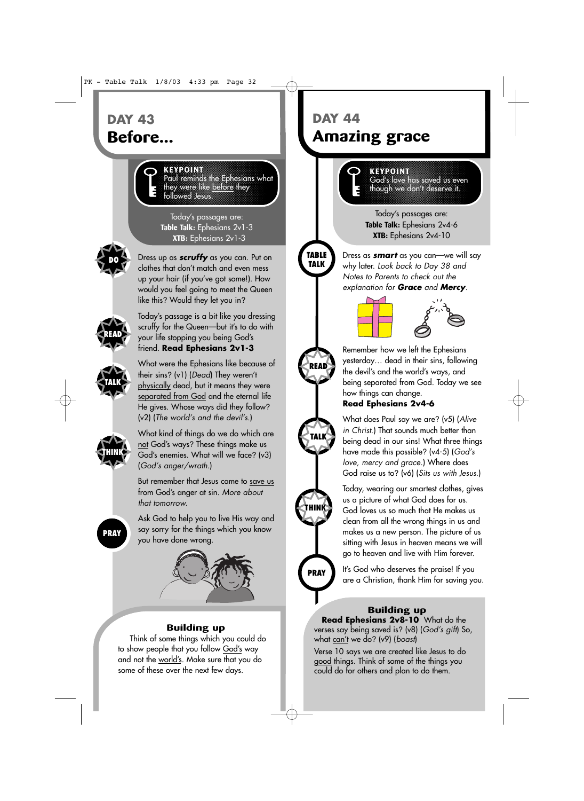### **DAY 43 Before...**

### **KEYPOINT**

Paul reminds the Ephesians what hey were like <u>before</u> they followed Jesus.

Today's passages are: **Table Talk:** Ephesians 2v1-3 **XTB:** Ephesians 2v1-3



Dress up as **scruffy** as you can. Put on clothes that don't match and even mess up your hair (if you've got some!). How would you feel going to meet the Queen like this? Would they let you in?



Today's passage is a bit like you dressing scruffy for the Queen—but it's to do with your life stopping you being God's friend. **Read Ephesians 2v1-3**



What were the Ephesians like because of their sins? (v1) (Dead) They weren't physically dead, but it means they were separated from God and the eternal life He gives. Whose ways did they follow? (v2) (The world's and the devil's.)



What kind of things do we do which are not God's ways? These things make us God's enemies. What will we face? (v3) (God's anger/wrath.)

But remember that Jesus came to save us from God's anger at sin. More about that tomorrow.



Ask God to help you to live His way and say sorry for the things which you know you have done wrong.



#### **Building up**

Think of some things which you could do to show people that you follow God's way and not the world's. Make sure that you do some of these over the next few days.

## **DAY 44 Amazing grace**

**KEYPOINT** 

God's love has saved us even though we don't deserve it.

Today's passages are: **Table Talk:** Ephesians 2v4-6 **XTB:** Ephesians 2v4-10



Dress as **smart** as you can—we will say why later. Look back to Day 38 and Notes to Parents to check out the explanation for **Grace** and **Mercy**.







**TALK**

Remember how we left the Ephesians yesterday… dead in their sins, following the devil's and the world's ways, and being separated from God. Today we see how things can change.

### **Read Ephesians 2v4-6**

What does Paul say we are? (v5) (Alive in Christ.) That sounds much better than being dead in our sins! What three things have made this possible? (v4-5) (God's love, mercy and grace.) Where does God raise us to? (v6) (Sits us with Jesus.)



Today, wearing our smartest clothes, gives us a picture of what God does for us. God loves us so much that He makes us clean from all the wrong things in us and makes us a new person. The picture of us sitting with Jesus in heaven means we will go to heaven and live with Him forever.

**PRAY**

It's God who deserves the praise! If you are a Christian, thank Him for saving you.

#### **Building up Read Ephesians 2v8-10** What do the

verses say being saved is? (v8) (God's gift) So, what can't we do? (v9) (boast)

Verse 10 says we are created like Jesus to do good things. Think of some of the things you could do for others and plan to do them.